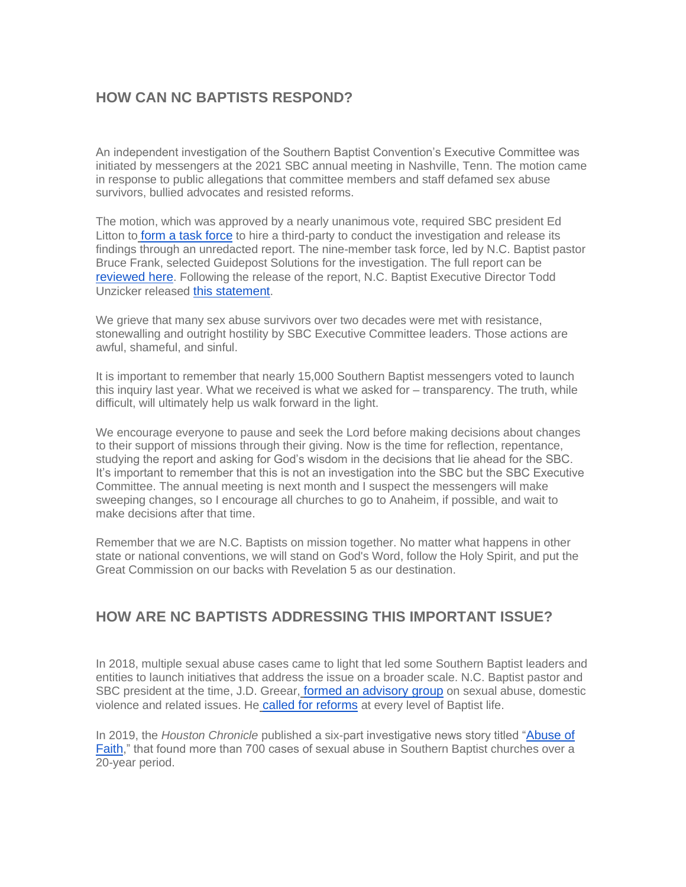## **HOW CAN NC BAPTISTS RESPOND?**

An independent investigation of the Southern Baptist Convention's Executive Committee was initiated by messengers at the 2021 SBC annual meeting in Nashville, Tenn. The motion came in response to public allegations that committee members and staff defamed sex abuse survivors, bullied advocates and resisted reforms.

The motion, which was approved by a nearly unanimous vote, required SBC president Ed Litton to [form a task force](https://ncbaptist.us12.list-manage.com/track/click?u=1a926f4856961f799a5a81888&id=09fc63d57b&e=39858a906a) to hire a third-party to conduct the investigation and release its findings through an unredacted report. The nine-member task force, led by N.C. Baptist pastor Bruce Frank, selected Guidepost Solutions for the investigation. The full report can be [reviewed here](https://ncbaptist.us12.list-manage.com/track/click?u=1a926f4856961f799a5a81888&id=a185f5d10d&e=39858a906a). Following the release of the report, N.C. Baptist Executive Director Todd Unzicker released [this statement](https://ncbaptist.us12.list-manage.com/track/click?u=1a926f4856961f799a5a81888&id=76c6286c19&e=39858a906a).

We grieve that many sex abuse survivors over two decades were met with resistance, stonewalling and outright hostility by SBC Executive Committee leaders. Those actions are awful, shameful, and sinful.

It is important to remember that nearly 15,000 Southern Baptist messengers voted to launch this inquiry last year. What we received is what we asked for – transparency. The truth, while difficult, will ultimately help us walk forward in the light.

We encourage everyone to pause and seek the Lord before making decisions about changes to their support of missions through their giving. Now is the time for reflection, repentance, studying the report and asking for God's wisdom in the decisions that lie ahead for the SBC. It's important to remember that this is not an investigation into the SBC but the SBC Executive Committee. The annual meeting is next month and I suspect the messengers will make sweeping changes, so I encourage all churches to go to Anaheim, if possible, and wait to make decisions after that time.

Remember that we are N.C. Baptists on mission together. No matter what happens in other state or national conventions, we will stand on God's Word, follow the Holy Spirit, and put the Great Commission on our backs with Revelation 5 as our destination.

## **HOW ARE NC BAPTISTS ADDRESSING THIS IMPORTANT ISSUE?**

In 2018, multiple sexual abuse cases came to light that led some Southern Baptist leaders and entities to launch initiatives that address the issue on a broader scale. N.C. Baptist pastor and SBC president at the time, J.D. Greear[,](https://ncbaptist.us12.list-manage.com/track/click?u=1a926f4856961f799a5a81888&id=3f370fdc36&e=39858a906a) [formed an advisory group](https://ncbaptist.us12.list-manage.com/track/click?u=1a926f4856961f799a5a81888&id=3f370fdc36&e=39858a906a) on sexual abuse, domestic violence and related issues. He [called for reforms](https://ncbaptist.us12.list-manage.com/track/click?u=1a926f4856961f799a5a81888&id=28a839a44a&e=39858a906a) at every level of Baptist life.

In 2019, the *Houston Chronicle* published a six-part investigative news story titled "[Abuse of](https://ncbaptist.us12.list-manage.com/track/click?u=1a926f4856961f799a5a81888&id=0713d7fe39&e=39858a906a)  [Faith](https://ncbaptist.us12.list-manage.com/track/click?u=1a926f4856961f799a5a81888&id=0713d7fe39&e=39858a906a)," that found more than 700 cases of sexual abuse in Southern Baptist churches over a 20-year period.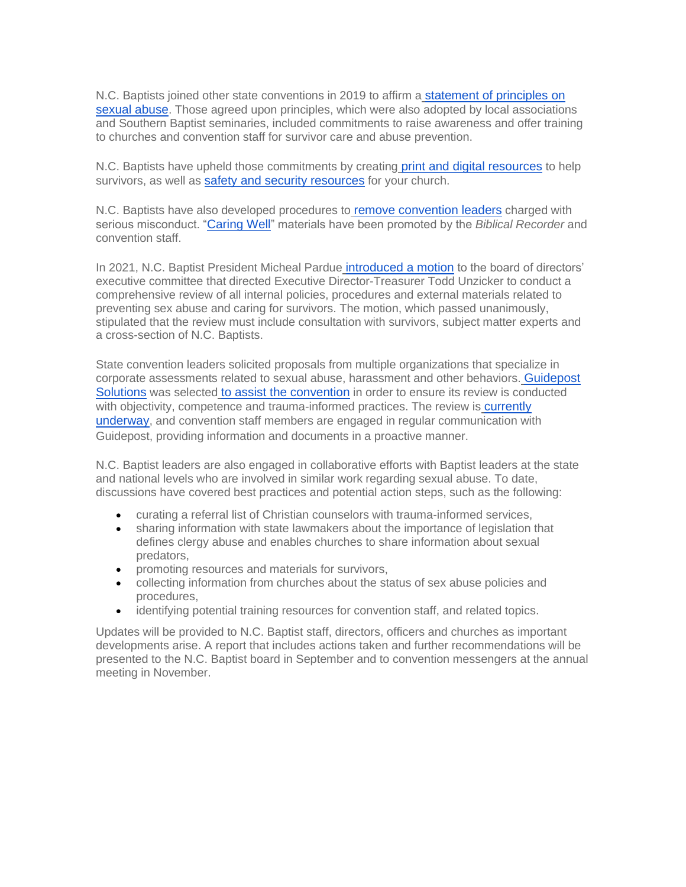N.C. Baptists joined other state conventions in 2019 to affirm a [statement of principles on](https://ncbaptist.us12.list-manage.com/track/click?u=1a926f4856961f799a5a81888&id=c18c371a2a&e=39858a906a)  [sexual abuse](https://ncbaptist.us12.list-manage.com/track/click?u=1a926f4856961f799a5a81888&id=c18c371a2a&e=39858a906a). Those agreed upon principles, which were also adopted by local associations and Southern Baptist seminaries, included commitments to raise awareness and offer training to churches and convention staff for survivor care and abuse prevention.

N.C. Baptists have upheld those commitments by creatin[g](https://ncbaptist.us12.list-manage.com/track/click?u=1a926f4856961f799a5a81888&id=08ea0cc627&e=39858a906a) [print and digital resources](https://ncbaptist.us12.list-manage.com/track/click?u=1a926f4856961f799a5a81888&id=08ea0cc627&e=39858a906a) to help survivors, as well as [safety and security resources](https://ncbaptist.us12.list-manage.com/track/click?u=1a926f4856961f799a5a81888&id=86d21f3421&e=39858a906a) for your church.

N.C. Baptists have also developed procedures t[o](https://ncbaptist.us12.list-manage.com/track/click?u=1a926f4856961f799a5a81888&id=5b4d09241f&e=39858a906a) [remove convention leaders](https://ncbaptist.us12.list-manage.com/track/click?u=1a926f4856961f799a5a81888&id=5b4d09241f&e=39858a906a) charged with serious misconduct. "[Caring Well](https://ncbaptist.us12.list-manage.com/track/click?u=1a926f4856961f799a5a81888&id=d2768a7e8d&e=39858a906a)" materials have been promoted by the *Biblical Recorder* and convention staff.

In 2021, N.C. Baptist President Micheal Pardu[e](https://ncbaptist.us12.list-manage.com/track/click?u=1a926f4856961f799a5a81888&id=c848c0161c&e=39858a906a) [introduced a motion](https://ncbaptist.us12.list-manage.com/track/click?u=1a926f4856961f799a5a81888&id=c848c0161c&e=39858a906a) to the board of directors' executive committee that directed Executive Director-Treasurer Todd Unzicker to conduct a comprehensive review of all internal policies, procedures and external materials related to preventing sex abuse and caring for survivors. The motion, which passed unanimously, stipulated that the review must include consultation with survivors, subject matter experts and a cross-section of N.C. Baptists.

State convention leaders solicited proposals from multiple organizations that specialize in corporate assessments related to sexual abuse, harassment and other behaviors. [Guidepost](https://ncbaptist.us12.list-manage.com/track/click?u=1a926f4856961f799a5a81888&id=0d0f424f4f&e=39858a906a)  [Solutions](https://ncbaptist.us12.list-manage.com/track/click?u=1a926f4856961f799a5a81888&id=0d0f424f4f&e=39858a906a) was selected [to assist the convention](https://ncbaptist.us12.list-manage.com/track/click?u=1a926f4856961f799a5a81888&id=a64d304f1b&e=39858a906a) in order to ensure its review is conducted with objectivity, competence and trauma-informed practices. The review is currently [underway](https://ncbaptist.us12.list-manage.com/track/click?u=1a926f4856961f799a5a81888&id=a4e696d5cf&e=39858a906a), and convention staff members are engaged in regular communication with Guidepost, providing information and documents in a proactive manner.

N.C. Baptist leaders are also engaged in collaborative efforts with Baptist leaders at the state and national levels who are involved in similar work regarding sexual abuse. To date, discussions have covered best practices and potential action steps, such as the following:

- curating a referral list of Christian counselors with trauma-informed services,
- sharing information with state lawmakers about the importance of legislation that defines clergy abuse and enables churches to share information about sexual predators,
- promoting resources and materials for survivors,
- collecting information from churches about the status of sex abuse policies and procedures,
- identifying potential training resources for convention staff, and related topics.

Updates will be provided to N.C. Baptist staff, directors, officers and churches as important developments arise. A report that includes actions taken and further recommendations will be presented to the N.C. Baptist board in September and to convention messengers at the annual meeting in November.